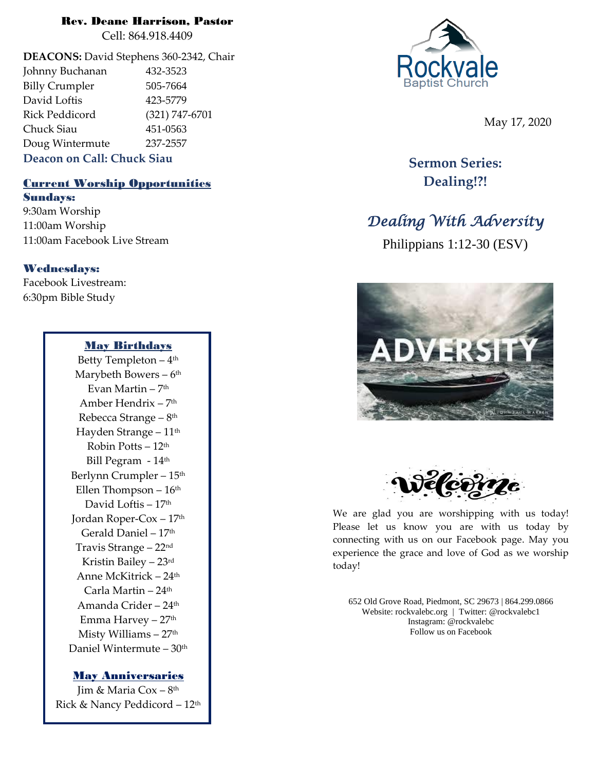# Rev. Deane Harrison, Pastor

Cell: 864.918.4409

**DEACONS:** David Stephens 360-2342, Chair Johnny Buchanan 432-3523 Billy Crumpler 505-7664 David Loftis 423-5779 Rick Peddicord (321) 747-6701 Chuck Siau 451-0563 Doug Wintermute 237-2557 **Deacon on Call: Chuck Siau**

# Current Worship Opportunities Sundays:

9:30am Worship 11:00am Worship 11:00am Facebook Live Stream

# Wednesdays:

Facebook Livestream: 6:30pm Bible Study

### May Birthdays

Betty Templeton – 4 th Marybeth Bowers – 6 th Evan Martin – 7<sup>th</sup> Amber Hendrix – 7 th Rebecca Strange – 8<sup>th</sup> Hayden Strange - 11<sup>th</sup> Robin Potts  $-12<sup>th</sup>$ Bill Pegram - 14<sup>th</sup> Berlynn Crumpler - 15<sup>th</sup> Ellen Thompson  $-16<sup>th</sup>$ David Loftis - 17th Jordan Roper-Cox – 17th Gerald Daniel – 17th Travis Strange – 22nd Kristin Bailey – 23rd Anne McKitrick – 24th Carla Martin  $-24$ <sup>th</sup> Amanda Crider – 24th Emma Harvey – 27th Misty Williams - 27<sup>th</sup> Daniel Wintermute – 30th

#### May Anniversaries

Jim & Maria Cox – 8 th Rick & Nancy Peddicord – 12th



May 17, 2020

**Sermon Series: Dealing!?!**

# *Dealing With Adversity*

Philippians 1:12-30 (ESV)





We are glad you are worshipping with us today! Please let us know you are with us today by connecting with us on our Facebook page. May you experience the grace and love of God as we worship today!

652 Old Grove Road, Piedmont, SC 29673 | 864.299.0866 Website: rockvalebc.org *|* Twitter: @rockvalebc1 Instagram: @rockvalebc Follow us on Facebook